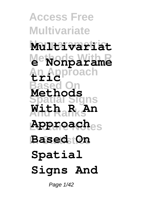**Access Free Multivariate Nonparametric Multivariat Methods With R e Nonparame An Approach Based On Spatial Signs And Ranks With R An Lecture Notes Approach In Statistics Based On tric Methods Spatial Signs And**

Page  $1/42$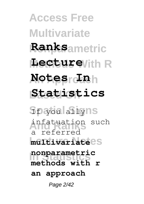**Access Free Multivariate Nonparametric Ranks Methods With R Lecture An Approach Notes In Based On Statistics Spatial Signs** If you ally infatuation such **Lecture Notes multivariate nonparametric**<br>In Statistics a referred **methods with r an approach** Page 2/42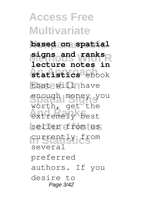**Access Free Multivariate Nonparametric based on spatial Methods With R signs and ranks** statistics<sup>3</sup>ebook that will have enough money you extremely best seller from us **In Statistics** currently from **lecture notes in** worth, get the several preferred authors. If you desire to Page 3/42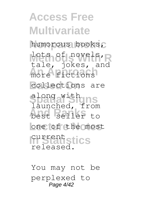**Access Free Multivariate Nonparametric** humorous books, lots of novels, R more fictions collections are **Spatial Signs** launched, from **And Ranks** best seller to one of the most **In Statistics** tale, jokes, and along with current released.

You may not be perplexed to Page 4/42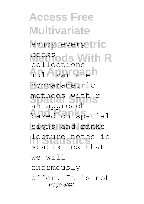**Access Free Multivariate** enjoy everyetric **books** With R multivariateh **Based On** nonparametric methods with **S**<br>an approach **And Ranks** based on spatial signs and ranks **In Statistics** lecture notes in collections methods with r statistics that we will enormously offer. It is not Page 5/42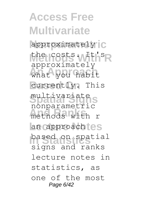**Access Free Multivariate** approximately<sup>1</sup>C the costs. W<sup>It's</sup>R **An Approach** what you habit currently. This **Spatial Signs** multivariate methods with r an approachtes **In Statistics** based on spatial approximately nonparametric signs and ranks lecture notes in statistics, as one of the most Page 6/42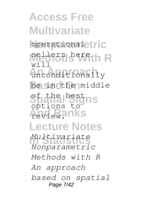**Access Free Multivariate operationaletric Methods With R** sellers here **An Approach** unconditionally be in the middle **Spatial Signs** of the best review.anks **Lecture Notes In Statistics** *Multivariate*  $\frac{1}{M}$  i  $\frac{1}{M}$ options to *Nonparametric Methods with R An approach based on spatial* Page 7/42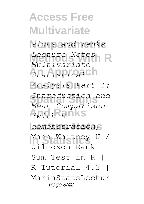**Access Free Multivariate Nonparametric** *signs and ranks* **Methods With R** *Lecture Notes* **An Approach** *Statistical* **Based On** *Analysis Part I:* **Spatial Signs** *Introduction and* **And Ranks** *(with R*  $demonstration)$ Mann Whitney U / *Multivariate Mean Comparison* Wilcoxon Rank-Sum Test in R | R Tutorial 4.3 | MarinStatsLectur Page 8/42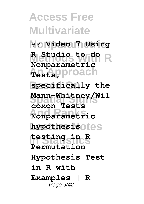**Access Free Multivariate Nonparametric** es **Video 7 Using Methods With R R Studio to do An Approach Tests, Based On specifically the Spatial Signs Mann-Whitney/Wil And Ranks Nonparametric** hypothesisotes **In Statistics testing in R Nonparametric coxon Tests Permutation Hypothesis Test in R with Examples | R** Page 9/42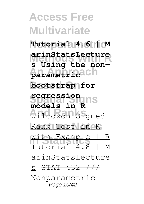**Access Free Multivariate Nonparametric Tutorial 4.6 | M Methods With R s Using the non-An Approach parametric Based On bootstrap for Spatial Signs models in R And Ranks** Wilcoxon Signed **Lecture Notes** Rank Test in R with Example | R **arinStatsLecture regression** Tutorial 4.8 | M arinStatsLecture s <del>STAT 432 ///</del> Nonparametric Page 10/42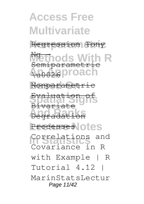**Access Free Multivariate** Regression Tony **Methods With R An Approach Based On** Nonparametric **Spatial Signs** Evaluation of **And Ranks** Degradation Processes **Otes In Statistics** Correlations and Ng - Semiparametric \u0026  $B<sub>1</sub>$  $\overline{v}$ Covariance in R with Example | R Tutorial 4.12 | MarinStatsLectur Page 11/42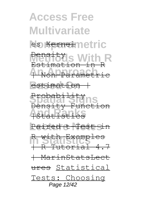**Access Free Multivariate** les <del>Kernel</del>metric **Methods With R** Estimation in R **An Approach** | Non-Parametric  $estimation$ Probabi<del>lity</del><br>Density Function **And Ranks** |Statistics Paired t-Test sin **In Statistics** R with Examples Density Probabili | R Tutorial 4.7 | MarinStatsLect ures Statistical Tests: Choosing Page 12/42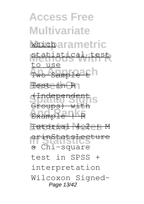**Access Free Multivariate whicharametric Methods With R** statistical test **Awo-Sample 26** h Festeth R1 **Spatial Signs** Groups) with Example | KR Tutorial 4.2 eS M **In Statistics** s Chi-square to use (Independent arinStatsLecture test in SPSS + interpretation Wilcoxon Signed-Page 13/42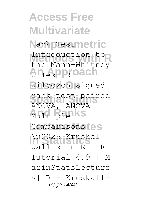**Access Free Multivariate** Rank prestmetric Introduction to An Approach Wilcoxon signed-**Spatial Signs** rank test paired Multiple<sup>1</sup>KS Comparisonstes **In Statistics** \u0026 Kruskal the Mann-Whitney ANOVA, ANOVA Wallis in R | R Tutorial 4.9 | M arinStatsLecture  $s!$  R - Kruskall-Page 14/42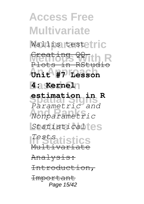**Access Free Multivariate** Wallis testetric **Methods With R** Creating QQ-**An Approach Unit #7 Lesson Based On 4: Kernel Spatial Signs estimation in R And Ranks** *Nonparametric* **Lecture Notes** *Statistical* **In Statistics** *Tests* Plots in RStudio *Parametric and*  $Mu$ ltivariat Analysis: Introduction, Important Page 15/42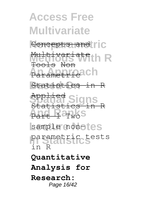**Access Free Multivariate** Concepts and ric **Methods With R** Multivariate **An Antipach Statistics** in R **Spatial Signs** Statistics in R Part 1 Twos sample non-tes parametric tests Tools Non Appli in R **Quantitative Analysis for Research:** Page 16/42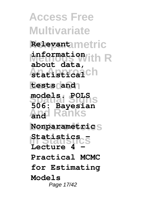**Access Free Multivariate Nonparametric Relevant Methods With R information An Approach statistical Based On tests and Spatial Signs models. POLS And Ranks and**  $Nonparametrics$ **In Statistics Statistics about data, 506: Bayesian** Lecture 4 **Practical MCMC for Estimating Models** Page 17/42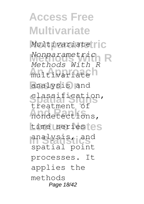**Access Free Multivariate** Multivariate<sup>[1]</sup>C **Methods With R** *Nonparametric* multivariateh **Based On** analysis and **Spatial Signs** classification, **And Ranks** nondetections, time *seriestes* **In Statistics** analysis, and *Methods With R* treatment of spatial point processes. It applies the methods Page 18/42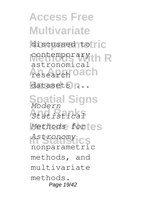**Access Free Multivariate** discussed to ric **CONTEMPORARY R**<br> **A** astronomical **Adsearch oach** datasets  $n \ldots$ **Spatial Signs** *Modern* **And Ranks** *Statistical*  $Methods$  fortes **In Statistics** *Astronomy* contemporary nonparametric methods, and multivariate methods. Page 19/42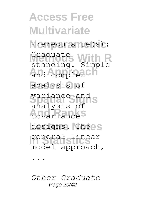**Access Free Multivariate** Prerequisite(s): Graduate<br>standing. Simple and complex<sup>Ch</sup> **Based On** analysis of **Spatial Signs** variance and **And Ranks** covariance designs. Thees **In Statistics** general linear Graduate analysis of model approach, ...

*Other Graduate* Page 20/42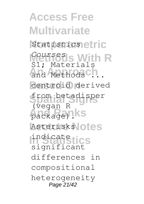**Access Free Multivariate Nonparametric** *Statistics* **Methods With R** *Courses* and Methods ... **Based On** centroid derived from betadisper package) **KS** Asterisks<sup>l</sup>otes **In Statistics** indicate S1; Materials (vegan R significant differences in compositional heterogeneity Page 21/42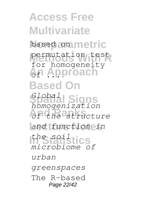**Access Free Multivariate** based commetric **Methods With R** permutation test **An Approach Based On Spatial Signs** *homogenization* **And Ranks** *of the structure* **Lecture Notes** *and function in* **In Statistics** *the soil* for homogeneity *Global microbiome of urban greenspaces* The R-based Page 22/42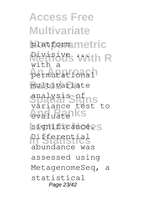**Access Free Multivariate** platformmetric **Methods With R** Divisive ... **An Approach** permutational **Based On** multivariate **Spatial Signs** variance test to **And Ranks** evaluate significance.s **In Statistics** Differential with a analysis of abundance was assessed using MetagenomeSeq, a statistical Page 23/42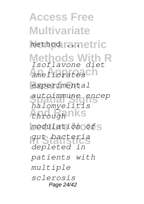**Access Free Multivariate** method rametric **Methods With R** *Isoflavone diet* **An Approach** *ameliorates*  $experriment$ **Spatial Signs** *autoimmune encep* **And Ranks** *through* **Lecture Notes** *modulation of* **In Statistics** *gut bacteria halomyelitis depleted in patients with multiple sclerosis* Page 24/42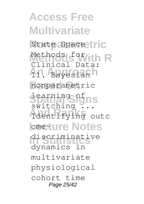**Access Free Multivariate** State Space tric Methods for **R**<br>Clinical Data: **An Bayesianh Based On** nonparametric **Spatial Signs** learning of **And Ranks** Identifying outc **Lometure Notes In Statistics** discriminative Methods for switching dynamics in multivariate physiological cohort time Page 25/42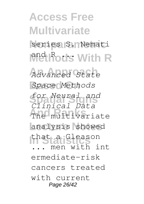**Access Free Multivariate** series S. Nemati **Methods With R An Approach** *Advanced State* **Based On** *Space Methods* **Spatial Signs** *for Neural and* The multivariate analysis showed **In Statistics** that a Gleason *Clinical Data* men with int ermediate-risk cancers treated with current Page 26/42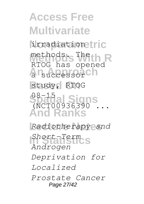**Access Free Multivariate Nonparametric** irradiation methods.<sub>S</sub> The **h** R An<sub>successor</sub>ch study, RTOG **Spatial Signs** 08-15 **And Ranks Lecture Notes** *Radiotherapy and* **In Statistics** *Short-Term* RTOG has opened (NCT00936390 ... *Androgen Deprivation for Localized Prostate Cancer* Page 27/42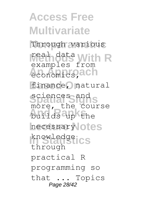**Access Free Multivariate** Through various real data With R **An Approach** economics, finance, natural sciences and s **And Ranks** builds up the necessary otes knowledge CS examples from more, the course through practical R programming so that ... Topics Page 28/42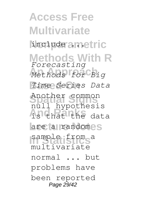**Access Free Multivariate Linclude ametric Methods With R** *Forecasting* **An Approach** *Methods for Big* **Based On** *Time Series Data* **Spatial Signs** null hypothesis **And Ranks** is that the data are a randomes sample from a Another common multivariate normal ... but problems have been reported Page 29/42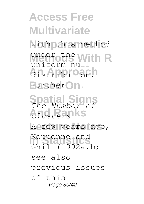**Access Free Multivariate** with this method under the With R **An Approach** distribution. Further O.n. **Spatial Signs** *The Number of* **And Ranks** *Clusters* A few years ago, **In Statistics** Keppenne and uniform null Ghil (1992a,b; see also previous issues of this Page 30/42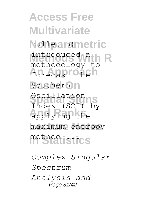**Access Free Multivariate Bulletin)** metric **Methods With R** methodology to forecast then Southern<sub>n</sub> **Spatial Signs** Index (SOI) by **And Ranks** applying the maximum entropy method **istics** introduced a Oscillation

*Complex Singular Spectrum Analysis and* Page 31/42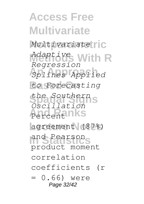**Access Free Multivariate** Multivariate<sup>[1]</sup>C **Methods With R** *Adaptive* **An Approach** *Splines Applied*  $to$  *Forecasting* **Spatial Signs** *the Southern* Percentanks **Lecture Notes** agreement (87%) and Pearson<sub>S</sub> *Regression Oscillation* product moment correlation coefficients (r = 0.66) were Page 32/42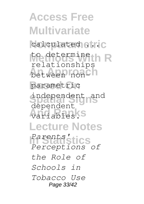**Access Free Multivariate** calculated etric to determine<br>
relationships between nonCh parametric independent <sub>and</sub> **And Ranks** variables. **Lecture Notes In Statistics** *Parents'* to determine dependent *Perceptions of the Role of Schools in Tobacco Use* Page 33/42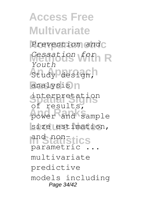**Access Free Multivariate** Prevention and **Methods With R** *Cessation for* study design, analysis<sup>n</sup> **Spatial Signs** interpretation **And Ranks** power and sample size estimation, and non-stics *Youth* of results, parametric multivariate predictive models including Page 34/42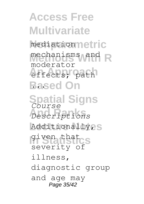**Access Free Multivariate Nonparametric** mediation **Methods With R** mechanisms and **An Approach** effects; path **Based On Spatial Signs** *Course* **And Ranks** *Descriptions* Additionally<sub>2S</sub> **In Statistics** given that moderator severity of illness, diagnostic group and age may Page 35/42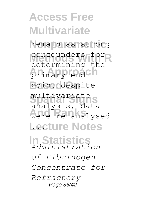**Access Free Multivariate** remain as strong confounders for primary end ch point despite **Spatial Signs** multivariate **And Ranks** were re-analysed Lecture Notes **In Statistics** *Administration* determining the analysis, data *of Fibrinogen Concentrate for Refractory* Page 36/42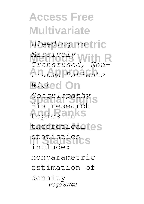**Access Free Multivariate Nonparametric** *Bleeding in* **Methods With R** *Transfused, Non-***An Approach** *trauma Patients* **Based On** *With* **Spatial Signs** *Coagulopathy* **And Ranks** topics in theoreticaltes **In Statistics** statistics *Massively* His research include: nonparametric estimation of density Page 37/42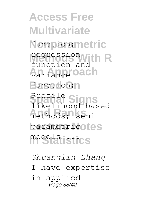**Access Free Multivariate Nonparametric** function; regression With R **An Approach** variance function; **Spatial Signs** Profile methods; semiparametricotes **In Statistics** models ... function and likelihood based

*Shuanglin Zhang* I have expertise in applied Page 38/42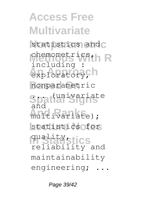**Access Free Multivariate** statistics and C chemometrics, h R exploratory, h **Based On** nonparametric Spati<sup>univariate</sup> multivariate); statistics for **In Statistics** quality, including : and reliability and maintainability engineering;

Page 39/42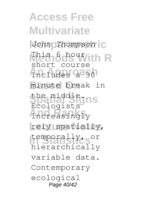**Access Free Multivariate Nonparametric** *John Thompson* **Methods With R** This 6 hour includes a<sup>30</sup> **Based On** minute break in **Spatial Signs** the middle. increasingly rely spatially, **In Statistics** temporally, or short course Ecologists hierarchically variable data. Contemporary ecological Page 40/42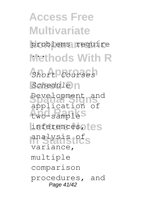**Access Free Multivariate** problems require **Methods With R**  $Short$  Courses  $S$ *chedule*<sup>1</sup> **Spatial Signs** Development and two-sample<sup>S</sup> inferences, tes **In Statistics** analysis of application of variance, multiple comparison procedures, and Page 41/42